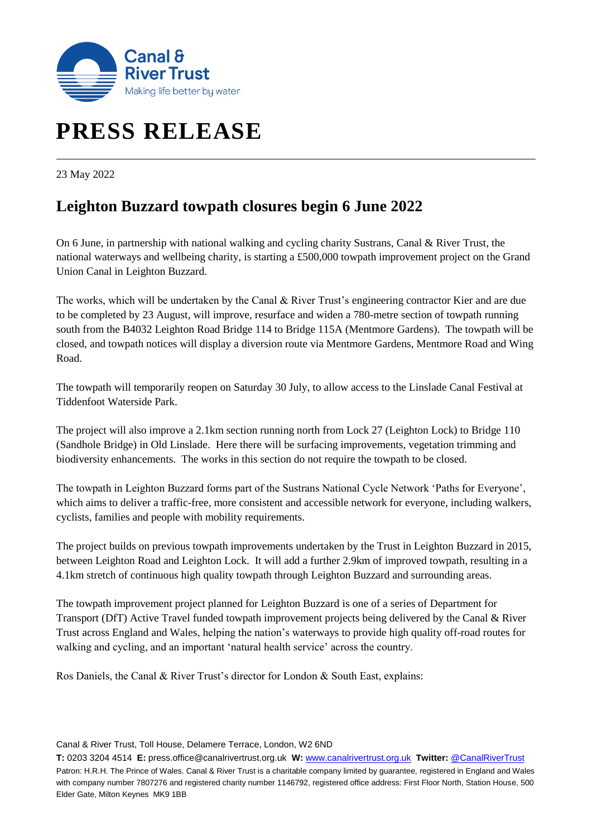

# **PRESS RELEASE**

23 May 2022

## **Leighton Buzzard towpath closures begin 6 June 2022**

On 6 June, in partnership with national walking and cycling charity Sustrans, Canal & River Trust, the national waterways and wellbeing charity, is starting a £500,000 towpath improvement project on the Grand Union Canal in Leighton Buzzard.

The works, which will be undertaken by the Canal & River Trust's engineering contractor Kier and are due to be completed by 23 August, will improve, resurface and widen a 780-metre section of towpath running south from the B4032 Leighton Road Bridge 114 to Bridge 115A (Mentmore Gardens). The towpath will be closed, and towpath notices will display a diversion route via Mentmore Gardens, Mentmore Road and Wing Road.

The towpath will temporarily reopen on Saturday 30 July, to allow access to the Linslade Canal Festival at Tiddenfoot Waterside Park.

The project will also improve a 2.1km section running north from Lock 27 (Leighton Lock) to Bridge 110 (Sandhole Bridge) in Old Linslade. Here there will be surfacing improvements, vegetation trimming and biodiversity enhancements. The works in this section do not require the towpath to be closed.

The towpath in Leighton Buzzard forms part of the Sustrans National Cycle Network 'Paths for Everyone', which aims to deliver a traffic-free, more consistent and accessible network for everyone, including walkers, cyclists, families and people with mobility requirements.

The project builds on previous towpath improvements undertaken by the Trust in Leighton Buzzard in 2015, between Leighton Road and Leighton Lock. It will add a further 2.9km of improved towpath, resulting in a 4.1km stretch of continuous high quality towpath through Leighton Buzzard and surrounding areas.

The towpath improvement project planned for Leighton Buzzard is one of a series of Department for Transport (DfT) Active Travel funded towpath improvement projects being delivered by the Canal & River Trust across England and Wales, helping the nation's waterways to provide high quality off-road routes for walking and cycling, and an important 'natural health service' across the country.

Ros Daniels, the Canal & River Trust's director for London & South East, explains:

Canal & River Trust, Toll House, Delamere Terrace, London, W2 6ND

**T:** 0203 3204 4514 **E:** press.office@canalrivertrust.org.uk **W:** [www.canalrivertrust.org.uk](http://www.canalrivertrust.org.uk/) **Twitter:** [@CanalRiverTrust](https://twitter.com/CanalRiverTrust) Patron: H.R.H. The Prince of Wales. Canal & River Trust is a charitable company limited by guarantee, registered in England and Wales with company number 7807276 and registered charity number 1146792, registered office address: First Floor North, Station House, 500 Elder Gate, Milton Keynes MK9 1BB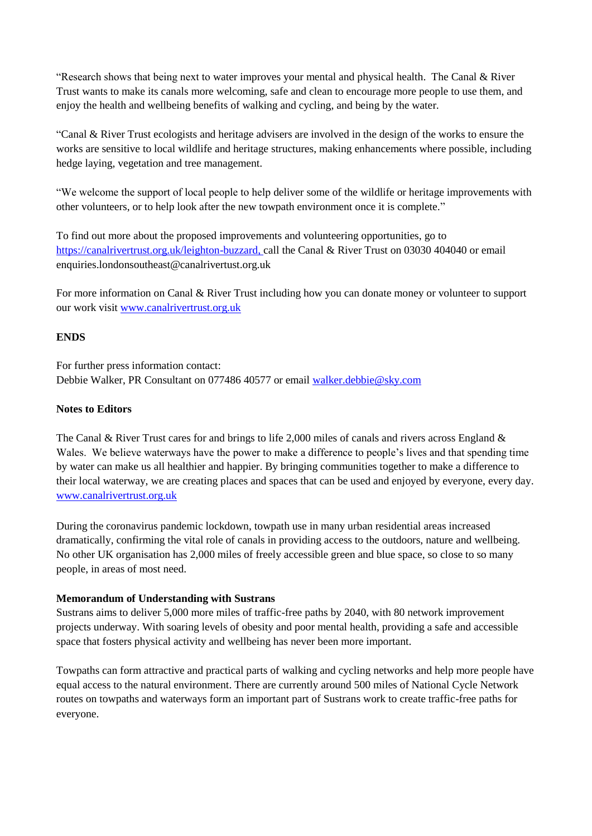"Research shows that being next to water improves your mental and physical health. The Canal & River Trust wants to make its canals more welcoming, safe and clean to encourage more people to use them, and enjoy the health and wellbeing benefits of walking and cycling, and being by the water.

"Canal & River Trust ecologists and heritage advisers are involved in the design of the works to ensure the works are sensitive to local wildlife and heritage structures, making enhancements where possible, including hedge laying, vegetation and tree management.

"We welcome the support of local people to help deliver some of the wildlife or heritage improvements with other volunteers, or to help look after the new towpath environment once it is complete."

To find out more about the proposed improvements and volunteering opportunities, go to [https://canalrivertrust.org.uk/leighton-buzzard,](https://canalrivertrust.org.uk/leighton-buzzard) call the Canal & River Trust on 03030 404040 or email enquiries.londonsoutheast@canalrivertust.org.uk

For more information on Canal & River Trust including how you can donate money or volunteer to support our work visit [www.canalrivertrust.org.uk](http://www.canalrivertrust.org.uk/)

### **ENDS**

For further press information contact: Debbie Walker, PR Consultant on 077486 40577 or email [walker.debbie@sky.com](mailto:walker.debbie@sky.com)

#### **Notes to Editors**

The Canal & River Trust cares for and brings to life 2,000 miles of canals and rivers across England & Wales. We believe waterways have the power to make a difference to people's lives and that spending time by water can make us all healthier and happier. By bringing communities together to make a difference to their local waterway, we are creating places and spaces that can be used and enjoyed by everyone, every day. [www.canalrivertrust.org.uk](http://www.canalrivertrust.org.uk/)

During the coronavirus pandemic lockdown, towpath use in many urban residential areas increased dramatically, confirming the vital role of canals in providing access to the outdoors, nature and wellbeing. No other UK organisation has 2,000 miles of freely accessible green and blue space, so close to so many people, in areas of most need.

#### **Memorandum of Understanding with Sustrans**

Sustrans aims to deliver 5,000 more miles of traffic-free paths by 2040, with 80 network improvement projects underway. With soaring levels of obesity and poor mental health, providing a safe and accessible space that fosters physical activity and wellbeing has never been more important.

Towpaths can form attractive and practical parts of walking and cycling networks and help more people have equal access to the natural environment. There are currently around 500 miles of National Cycle Network routes on towpaths and waterways form an important part of Sustrans work to create traffic-free paths for everyone.